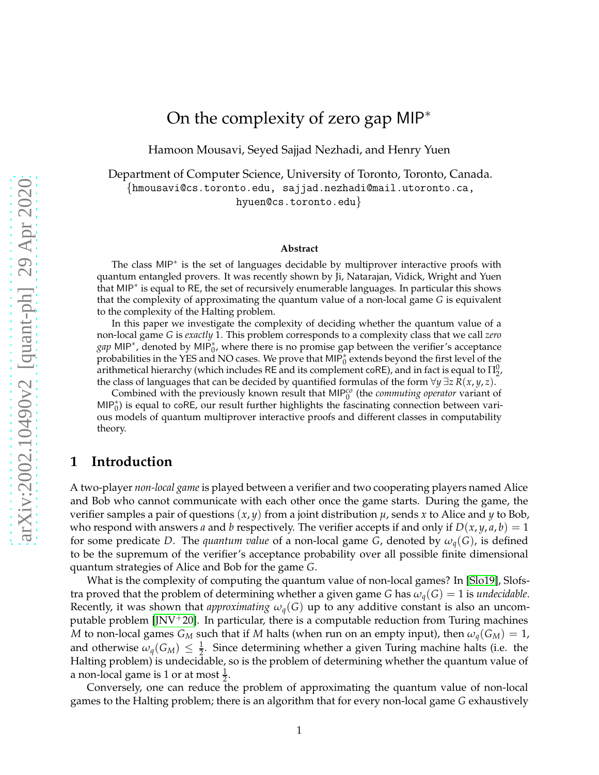# On the complexity of zero gap MIP<sup>∗</sup>

Hamoon Mousavi, Seyed Sajjad Nezhadi, and Henry Yuen

Department of Computer Science, University of Toronto, Toronto, Canada. {hmousavi@cs.toronto.edu, sajjad.nezhadi@mail.utoronto.ca, hyuen@cs.toronto.edu}

#### **Abstract**

The class MIP<sup>\*</sup> is the set of languages decidable by multiprover interactive proofs with quantum entangled provers. It was recently shown by Ji, Natarajan, Vidick, Wright and Yuen that MIP<sup>∗</sup> is equal to RE, the set of recursively enumerable languages. In particular this shows that the complexity of approximating the quantum value of a non-local game *G* is equivalent to the complexity of the Halting problem.

In this paper we investigate the complexity of deciding whether the quantum value of a non-local game *G* is *exactly* 1. This problem corresponds to a complexity class that we call *zero* gap MIP<sup>\*</sup>, denoted by MIP<sup>\*</sup><sub>0</sub>, where there is no promise gap between the verifier's acceptance probabilities in the YES and NO cases. We prove that MIP<sup>\*</sup><sub>0</sub> extends beyond the first level of the arithmetical hierarchy (which includes RE and its complement coRE), and in fact is equal to  $\Pi^0_2$ , the class of languages that can be decided by quantified formulas of the form  $\forall y \exists z R(x, y, z)$ .

Combined with the previously known result that MIP<sup>co</sup> (the *commuting operator* variant of MIP<sub>0</sub><sup>\*</sup>) is equal to coRE, our result further highlights the fascinating connection between various models of quantum multiprover interactive proofs and different classes in computability theory.

## **1 Introduction**

A two-player *non-local game* is played between a verifier and two cooperating players named Alice and Bob who cannot communicate with each other once the game starts. During the game, the verifier samples a pair of questions  $(x, y)$  from a joint distribution  $\mu$ , sends x to Alice and y to Bob, who respond with answers *a* and *b* respectively. The verifier accepts if and only if  $D(x, y, a, b) = 1$ for some predicate *D*. The *quantum value* of a non-local game *G*, denoted by  $\omega_q(G)$ , is defined to be the supremum of the verifier's acceptance probability over all possible finite dimensional quantum strategies of Alice and Bob for the game *G*.

What is the complexity of computing the quantum value of non-local games? In [\[Slo19\]](#page-11-0), Slofstra proved that the problem of determining whether a given game *G* has  $\omega_q(G) = 1$  is *undecidable*. Recently, it was shown that *approximating*  $\omega_q(G)$  up to any additive constant is also an uncomputable problem  $\text{[JNV+20]}$ . In particular, there is a computable reduction from Turing machines *M* to non-local games  $G_M$  such that if *M* halts (when run on an empty input), then  $\omega_q(G_M) = 1$ , and otherwise  $\omega_q(G_M) \leq \frac{1}{2}$ . Since determining whether a given Turing machine halts (i.e. the Halting problem) is undecidable, so is the problem of determining whether the quantum value of a non-local game is 1 or at most  $\frac{1}{2}$ .

Conversely, one can reduce the problem of approximating the quantum value of non-local games to the Halting problem; there is an algorithm that for every non-local game *G* exhaustively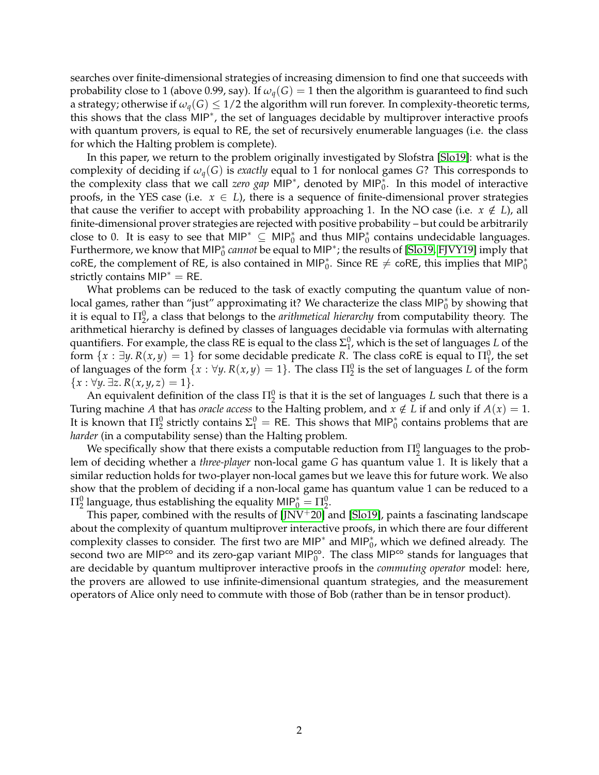searches over finite-dimensional strategies of increasing dimension to find one that succeeds with probability close to 1 (above 0.99, say). If  $\omega_q(G) = 1$  then the algorithm is guaranteed to find such a strategy; otherwise if  $\omega_q(G) \leq 1/2$  the algorithm will run forever. In complexity-theoretic terms, this shows that the class MIP<sup>∗</sup> , the set of languages decidable by multiprover interactive proofs with quantum provers, is equal to RE, the set of recursively enumerable languages (i.e. the class for which the Halting problem is complete).

In this paper, we return to the problem originally investigated by Slofstra [\[Slo19\]](#page-11-0): what is the complexity of deciding if *ωq*(*G*) is *exactly* equal to 1 for nonlocal games *G*? This corresponds to the complexity class that we call *zero gap* MIP<sup>∗</sup> , denoted by MIP<sup>∗</sup> 0 . In this model of interactive proofs, in the YES case (i.e.  $x \in L$ ), there is a sequence of finite-dimensional prover strategies that cause the verifier to accept with probability approaching 1. In the NO case (i.e.  $x \notin L$ ), all finite-dimensional prover strategies are rejected with positive probability – but could be arbitrarily close to 0. It is easy to see that  $MIP^* \subseteq MIP_0^*$  and thus  $MIP_0^*$  contains undecidable languages. Furthermore, we know that MIP<sup>∗</sup> 0 *cannot* be equal to MIP<sup>∗</sup> ; the results of [\[Slo19,](#page-11-0) [FJVY19\]](#page-11-2) imply that coRE, the complement of RE, is also contained in MIP<sub>0</sub><sup>\*</sup>. Since RE  $\neq$  coRE, this implies that MIP<sub>0</sub><sup>\*</sup> strictly contains  $MIP^* = RE$ .

What problems can be reduced to the task of exactly computing the quantum value of nonlocal games, rather than "just" approximating it? We characterize the class MIP<sub>0</sub><sup>\*</sup> by showing that it is equal to  $\Pi^0_2$ , a class that belongs to the *arithmetical hierarchy* from computability theory. The arithmetical hierarchy is defined by classes of languages decidable via formulas with alternating quantifiers. For example, the class RE is equal to the class  $\Sigma_1^0$ , which is the set of languages *L* of the form  $\{x : \exists y. R(x,y) = 1\}$  for some decidable predicate R. The class coRE is equal to  $\Pi_1^0$ , the set of languages of the form  $\{x : \forall y. R(x, y) = 1\}$ . The class  $\Pi_2^0$  is the set of languages *L* of the form  ${x : \forall y. \exists z. R(x, y, z) = 1}.$ 

An equivalent definition of the class  $\Pi^0_2$  is that it is the set of languages *L* such that there is a Turing machine *A* that has *oracle access* to the Halting problem, and  $x \notin L$  if and only if  $A(x) = 1$ . It is known that  $\Pi^0_2$  strictly contains  $\Sigma^0_1 =$  RE. This shows that MIP $^*_0$  contains problems that are *harder* (in a computability sense) than the Halting problem.

We specifically show that there exists a computable reduction from  $\Pi^0_2$  languages to the problem of deciding whether a *three-player* non-local game *G* has quantum value 1. It is likely that a similar reduction holds for two-player non-local games but we leave this for future work. We also show that the problem of deciding if a non-local game has quantum value 1 can be reduced to a  $\Pi^0_2$  language, thus establishing the equality MIP $^*_0 = \Pi^0_2.$ 

This paper, combined with the results of  $[JNV^+20]$  and  $[Sol9]$ , paints a fascinating landscape about the complexity of quantum multiprover interactive proofs, in which there are four different complexity classes to consider. The first two are MIP<sup>\*</sup> and MIP<sub>0</sub><sup>\*</sup>, which we defined already. The second two are MIP<sup>co</sup> and its zero-gap variant MIP<sup>co</sup>. The class MIP<sup>co</sup> stands for languages that are decidable by quantum multiprover interactive proofs in the *commuting operator* model: here, the provers are allowed to use infinite-dimensional quantum strategies, and the measurement operators of Alice only need to commute with those of Bob (rather than be in tensor product).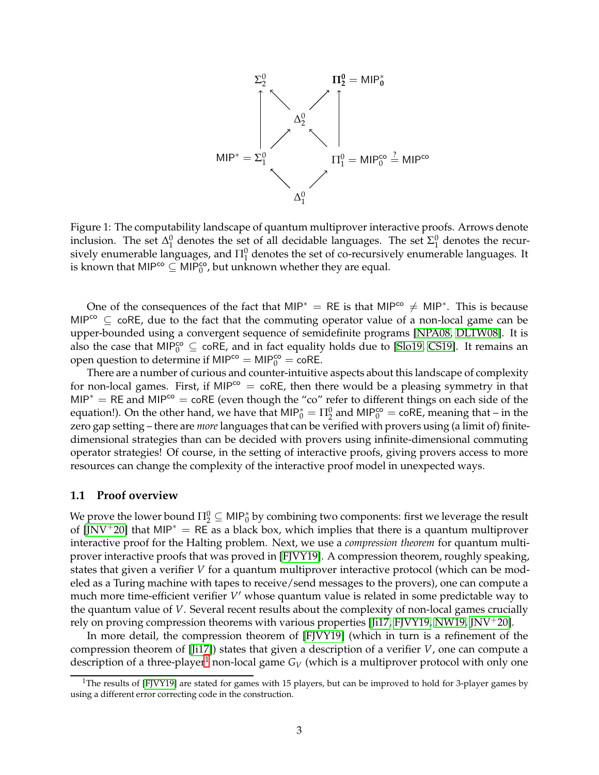

Figure 1: The computability landscape of quantum multiprover interactive proofs. Arrows denote inclusion. The set  $\Delta_1^0$  denotes the set of all decidable languages. The set  $\Sigma_1^0$  denotes the recursively enumerable languages, and  $\Pi^0_1$  denotes the set of co-recursively enumerable languages. It is known that MIP<sup>co</sup>  $\subseteq$  MIP<sup>co</sup>, but unknown whether they are equal.

One of the consequences of the fact that MIP<sup>\*</sup> = RE is that MIP<sup>co</sup>  $\neq$  MIP<sup>\*</sup>. This is because MIP $^{co} \subseteq$  coRE, due to the fact that the commuting operator value of a non-local game can be upper-bounded using a convergent sequence of semidefinite programs [\[NPA08,](#page-11-3) [DLTW08\]](#page-11-4). It is also the case that MIP<sub>0</sub><sup>o</sup>  $\subseteq$  coRE, and in fact equality holds due to [\[Slo19,](#page-11-0) [CS19\]](#page-11-5). It remains an open question to determine if  $MIP^{co} = MIP_0^{co} = \text{coRE}$ .

There are a number of curious and counter-intuitive aspects about this landscape of complexity for non-local games. First, if MIP<sup>co</sup> = coRE, then there would be a pleasing symmetry in that MIP<sup> $*$ </sup> = RE and MIP<sup>co</sup> = coRE (even though the "co" refer to different things on each side of the equation!). On the other hand, we have that  $MIP_0^* = \Pi_2^0$  and  $MIP_0^{co} = \text{coRE}$ , meaning that – in the zero gap setting – there are *more* languages that can be verified with provers using (a limit of) finitedimensional strategies than can be decided with provers using infinite-dimensional commuting operator strategies! Of course, in the setting of interactive proofs, giving provers access to more resources can change the complexity of the interactive proof model in unexpected ways.

## **1.1 Proof overview**

We prove the lower bound  $\Pi^0_2\subseteq$  MIP $^*_0$  by combining two components: first we leverage the result of  $[JNV^+20]$  $[JNV^+20]$  that MIP<sup>\*</sup> = RE as a black box, which implies that there is a quantum multiprover interactive proof for the Halting problem. Next, we use a *compression theorem* for quantum multiprover interactive proofs that was proved in [\[FJVY19\]](#page-11-2). A compression theorem, roughly speaking, states that given a verifier *V* for a quantum multiprover interactive protocol (which can be modeled as a Turing machine with tapes to receive/send messages to the provers), one can compute a much more time-efficient verifier *V* ′ whose quantum value is related in some predictable way to the quantum value of *V*. Several recent results about the complexity of non-local games crucially rely on proving compression theorems with various properties [\[Ji17,](#page-11-6) [FJVY19,](#page-11-2) [NW19,](#page-11-7) [JNV](#page-11-1)+20].

In more detail, the compression theorem of [\[FJVY19\]](#page-11-2) (which in turn is a refinement of the compression theorem of [\[Ji17\]](#page-11-6)) states that given a description of a verifier *V*, one can compute a description of a three-player<sup>[1](#page-2-0)</sup> non-local game  $G_V$  (which is a multiprover protocol with only one

<span id="page-2-0"></span><sup>&</sup>lt;sup>1</sup>The results of [\[FJVY19\]](#page-11-2) are stated for games with 15 players, but can be improved to hold for 3-player games by using a different error correcting code in the construction.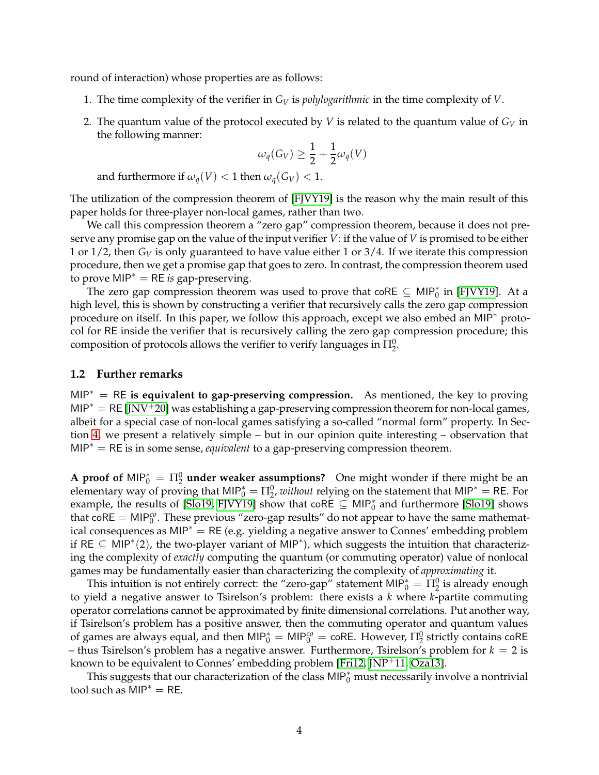round of interaction) whose properties are as follows:

- 1. The time complexity of the verifier in *G<sup>V</sup>* is *polylogarithmic* in the time complexity of *V*.
- 2. The quantum value of the protocol executed by *V* is related to the quantum value of *G<sup>V</sup>* in the following manner:

$$
\omega_q(G_V) \ge \frac{1}{2} + \frac{1}{2}\omega_q(V)
$$

and furthermore if  $\omega_q(V) < 1$  then  $\omega_q(G_V) < 1$ .

The utilization of the compression theorem of [\[FJVY19\]](#page-11-2) is the reason why the main result of this paper holds for three-player non-local games, rather than two.

We call this compression theorem a "zero gap" compression theorem, because it does not preserve any promise gap on the value of the input verifier *V*: if the value of *V* is promised to be either 1 or  $1/2$ , then  $G_V$  is only guaranteed to have value either 1 or  $3/4$ . If we iterate this compression procedure, then we get a promise gap that goes to zero. In contrast, the compression theorem used to prove MIP<sup>∗</sup> = RE *is* gap-preserving.

The zero gap compression theorem was used to prove that coRE  $\subseteq$  MIP<sup>\*</sup><sub>0</sub> in [\[FJVY19\]](#page-11-2). At a high level, this is shown by constructing a verifier that recursively calls the zero gap compression procedure on itself. In this paper, we follow this approach, except we also embed an MIP<sup>∗</sup> protocol for RE inside the verifier that is recursively calling the zero gap compression procedure; this composition of protocols allows the verifier to verify languages in  $\Pi^0_2$ .

#### **1.2 Further remarks**

MIP<sup>∗</sup> = RE **is equivalent to gap-preserving compression.** As mentioned, the key to proving MIP<sup> $*$ </sup> = RE [\[JNV](#page-11-1)<sup>+</sup>20] was establishing a gap-preserving compression theorem for non-local games, albeit for a special case of non-local games satisfying a so-called "normal form" property. In Section [4,](#page-9-0) we present a relatively simple – but in our opinion quite interesting – observation that MIP<sup>∗</sup> = RE is in some sense, *equivalent* to a gap-preserving compression theorem.

**A proof of**  $\text{MIP}_0^* = \Pi_2^0$  **under weaker assumptions?** One might wonder if there might be an elementary way of proving that MIP<sup>\*</sup> =  $\Pi_2^0$ , *without* relying on the statement that MIP<sup>\*</sup> = RE. For example, the results of [\[Slo19,](#page-11-0) [FJVY19\]](#page-11-2) show that  $\text{coRE} \subseteq \text{MIP}_0^*$  and furthermore [\[Slo19\]](#page-11-0) shows that coRE = MIP<sup>co</sup>. These previous "zero-gap results" do not appear to have the same mathematical consequences as MIP<sup>∗</sup> = RE (e.g. yielding a negative answer to Connes' embedding problem if RE  $\subseteq$  MIP<sup>\*</sup>(2), the two-player variant of MIP<sup>\*</sup>), which suggests the intuition that characterizing the complexity of *exactly* computing the quantum (or commuting operator) value of nonlocal games may be fundamentally easier than characterizing the complexity of *approximating* it.

This intuition is not entirely correct: the "zero-gap" statement MIP $^*_0 = \Pi^0_2$  is already enough to yield a negative answer to Tsirelson's problem: there exists a *k* where *k*-partite commuting operator correlations cannot be approximated by finite dimensional correlations. Put another way, if Tsirelson's problem has a positive answer, then the commuting operator and quantum values of games are always equal, and then  $MIP_0^* = MIP_0^{co} = \text{coRE}$ . However,  $\Pi_2^0$  strictly contains  $\text{coRE}$  $-$  thus Tsirelson's problem has a negative answer. Furthermore, Tsirelson's problem for  $k = 2$  is known to be equivalent to Connes' embedding problem [\[Fri12,](#page-11-8) [JNP](#page-11-9)<sup>+</sup>11, [Oza13\]](#page-11-10).

This suggests that our characterization of the class MIP $_0^*$  must necessarily involve a nontrivial tool such as  $MIP^* = RE$ .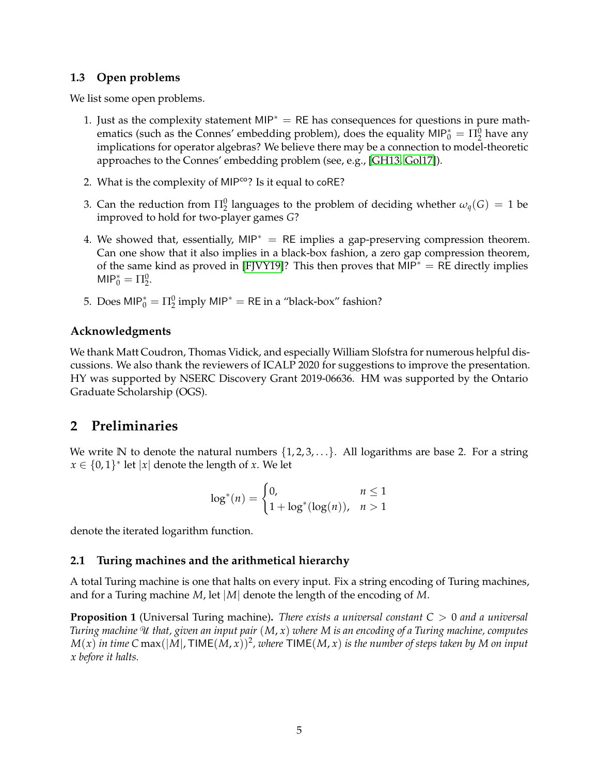## **1.3 Open problems**

We list some open problems.

- 1. Just as the complexity statement MIP<sup>\*</sup> = RE has consequences for questions in pure mathematics (such as the Connes' embedding problem), does the equality  $MIP_0^* = \Pi_2^0$  have any implications for operator algebras? We believe there may be a connection to model-theoretic approaches to the Connes' embedding problem (see, e.g., [\[GH13,](#page-11-11) [Gol17\]](#page-11-12)).
- 2. What is the complexity of MIP<sup>co</sup>? Is it equal to coRE?
- 3. Can the reduction from  $\Pi^0_2$  languages to the problem of deciding whether  $\omega_q(G) = 1$  be improved to hold for two-player games *G*?
- 4. We showed that, essentially, MIP<sup> $*$ </sup> = RE implies a gap-preserving compression theorem. Can one show that it also implies in a black-box fashion, a zero gap compression theorem, of the same kind as proved in [\[FJVY19\]](#page-11-2)? This then proves that MIP<sup>\*</sup> = RE directly implies  $MIP_0^* = \Pi_2^0.$
- 5. Does  $MIP_0^* = \Pi_2^0$  imply  $MIP^* = RE$  in a "black-box" fashion?

## **Acknowledgments**

We thank Matt Coudron, Thomas Vidick, and especially William Slofstra for numerous helpful discussions. We also thank the reviewers of ICALP 2020 for suggestions to improve the presentation. HY was supported by NSERC Discovery Grant 2019-06636. HM was supported by the Ontario Graduate Scholarship (OGS).

## **2 Preliminaries**

We write  $\mathbb N$  to denote the natural numbers  $\{1, 2, 3, \ldots\}$ . All logarithms are base 2. For a string  $x \in \{0,1\}^*$  let  $|x|$  denote the length of *x*. We let

$$
\log^*(n) = \begin{cases} 0, & n \le 1 \\ 1 + \log^*(\log(n)), & n > 1 \end{cases}
$$

denote the iterated logarithm function.

## **2.1 Turing machines and the arithmetical hierarchy**

A total Turing machine is one that halts on every input. Fix a string encoding of Turing machines, and for a Turing machine *M*, let |*M*| denote the length of the encoding of *M*.

**Proposition 1** (Universal Turing machine)**.** *There exists a universal constant C* > 0 *and a universal Turing machine* <sup>U</sup> *that, given an input pair* (*M*, *x*) *where M is an encoding of a Turing machine, computes*  $M(x)$  in time C max $(|M|$ , TIME $(M, x))^2$ , where TIME $(M, x)$  is the number of steps taken by M on input *x before it halts.*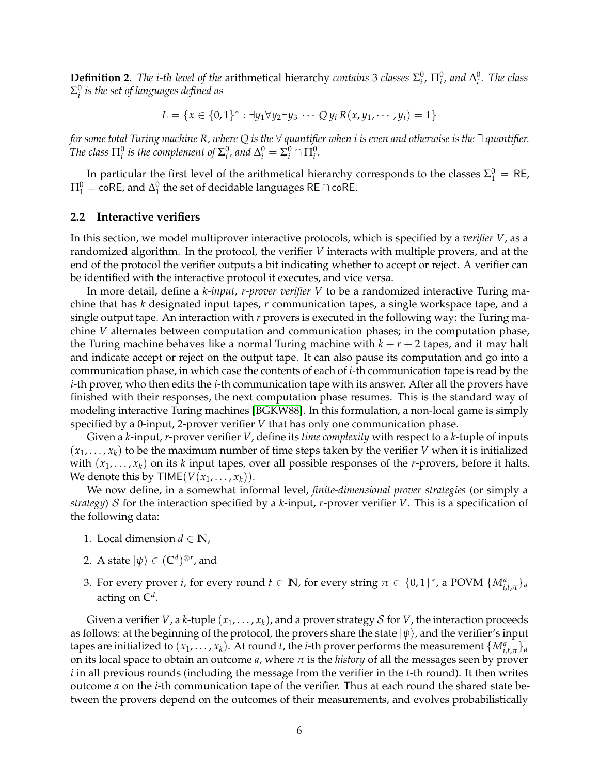**Definition 2.** *The i-th level of the arithmetical hierarchy <i>contains* 3 *classes*  $\Sigma_i^0$ ,  $\Pi_i^0$ , and  $\Delta_i^0$ . *The class* Σ 0 *i is the set of languages defined as*

$$
L = \{x \in \{0,1\}^* : \exists y_1 \forall y_2 \exists y_3 \cdots Q y_i R(x, y_1, \cdots, y_i) = 1\}
$$

*for some total Turing machine R, where Q is the* ∀ *quantifier when i is even and otherwise is the* ∃ *quantifier. The class*  $\Pi^0_i$  *is the complement of*  $\Sigma^0_i$ *, and*  $\Delta^0_i = \Sigma^0_i \cap \Pi^0_i$ *.* 

In particular the first level of the arithmetical hierarchy corresponds to the classes  $\Sigma_1^0 = \text{RE}$ ,  $\Pi^0_1 = \mathsf{co}\mathsf{RE}$ , and  $\Delta^0_1$  the set of decidable languages <code>RE</code>  $\cap$  <code>coRE.</code>

#### **2.2 Interactive verifiers**

In this section, we model multiprover interactive protocols, which is specified by a *verifier V*, as a randomized algorithm. In the protocol, the verifier *V* interacts with multiple provers, and at the end of the protocol the verifier outputs a bit indicating whether to accept or reject. A verifier can be identified with the interactive protocol it executes, and vice versa.

In more detail, define a *k-input, r-prover verifier V* to be a randomized interactive Turing machine that has *k* designated input tapes, *r* communication tapes, a single workspace tape, and a single output tape. An interaction with *r* provers is executed in the following way: the Turing machine *V* alternates between computation and communication phases; in the computation phase, the Turing machine behaves like a normal Turing machine with  $k + r + 2$  tapes, and it may halt and indicate accept or reject on the output tape. It can also pause its computation and go into a communication phase, in which case the contents of each of *i*-th communication tape is read by the *i*-th prover, who then edits the *i*-th communication tape with its answer. After all the provers have finished with their responses, the next computation phase resumes. This is the standard way of modeling interactive Turing machines [\[BGKW88\]](#page-10-0). In this formulation, a non-local game is simply specified by a 0-input, 2-prover verifier *V* that has only one communication phase.

Given a *k*-input, *r*-prover verifier *V*, define its *time complexity* with respect to a *k*-tuple of inputs  $(x_1, \ldots, x_k)$  to be the maximum number of time steps taken by the verifier *V* when it is initialized with  $(x_1, \ldots, x_k)$  on its *k* input tapes, over all possible responses of the *r*-provers, before it halts. We denote this by  $\mathsf{TIME}(V(x_1, \ldots, x_k)).$ 

We now define, in a somewhat informal level, *finite-dimensional prover strategies* (or simply a *strategy*) S for the interaction specified by a *k*-input, *r*-prover verifier *V*. This is a specification of the following data:

- 1. Local dimension  $d \in \mathbb{N}$ ,
- 2. A state  $|\psi\rangle \in (\mathbb{C}^d)^{\otimes r}$ , and
- 3. For every prover *i*, for every round  $t \in \mathbb{N}$ , for every string  $\pi \in \{0,1\}^*$ , a POVM  $\{M^a_{i,t,\pi}\}_a$ acting on **C** *d* .

Given a verifier *V*, a *k*-tuple  $(x_1, \ldots, x_k)$ , and a prover strategy *S* for *V*, the interaction proceeds as follows: at the beginning of the protocol, the provers share the state  $|\psi\rangle$ , and the verifier's input tapes are initialized to  $(x_1, \ldots, x_k)$ . At round *t*, the *i*-th prover performs the measurement  $\{M^a_{i,t,\pi}\}_a$ on its local space to obtain an outcome *a*, where *π* is the *history* of all the messages seen by prover *i* in all previous rounds (including the message from the verifier in the *t*-th round). It then writes outcome *a* on the *i*-th communication tape of the verifier. Thus at each round the shared state between the provers depend on the outcomes of their measurements, and evolves probabilistically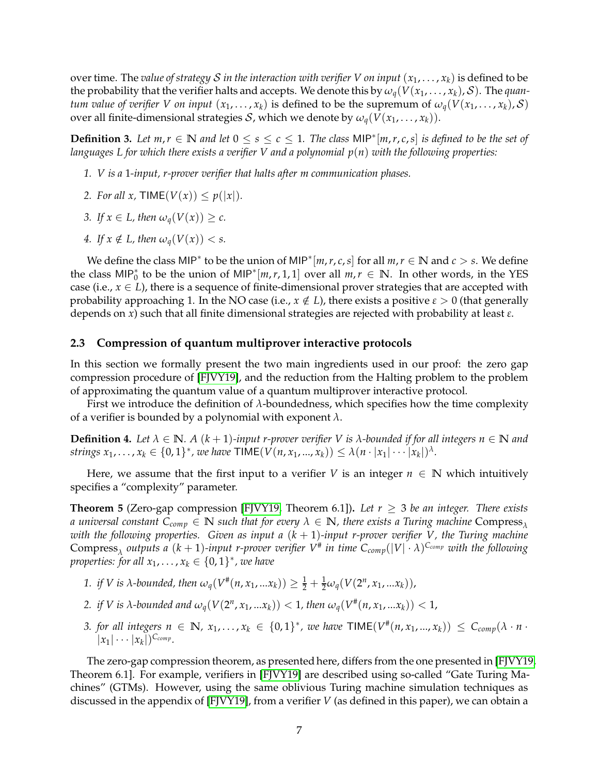over time. The *value of strategy S in the interaction with verifier V on input*  $(x_1, \ldots, x_k)$  is defined to be the probability that the verifier halts and accepts. We denote this by  $\omega_q(V(x_1,\ldots,x_k), S)$ . The *quantum value of verifier V on input*  $(x_1, \ldots, x_k)$  is defined to be the supremum of  $\omega_q(V(x_1, \ldots, x_k), S)$ over all finite-dimensional strategies *S*, which we denote by  $\omega_q(V(x_1, \ldots, x_k))$ .

**Definition 3.** Let  $m, r \in \mathbb{N}$  and let  $0 \leq s \leq c \leq 1$ . The class MIP<sup>∗</sup>[ $m, r, c, s$ ] is defined to be the set of *languages L for which there exists a verifier V and a polynomial p*(*n*) *with the following properties:*

- *1. V is a* 1*-input, r-prover verifier that halts after m communication phases.*
- *2. For all x,* **TIME** $(V(x)) \leq p(|x|)$ *.*
- *3.* If  $x \in L$ , then  $\omega_a(V(x)) \geq c$ .
- 4. If  $x \notin L$ , then  $\omega_a(V(x)) < s$ .

We define the class MIP<sup>\*</sup> to be the union of MIP<sup>\*</sup>[ $m,r,c,s$ ] for all  $m,r \in \mathbb{N}$  and  $c > s$ . We define the class MIP<sup>\*</sup><sub>0</sub> to be the union of MIP<sup>\*</sup>[*m*,*r*, 1, 1] over all  $m, r \in \mathbb{N}$ . In other words, in the YES case (i.e.,  $x \in L$ ), there is a sequence of finite-dimensional prover strategies that are accepted with probability approaching 1. In the NO case (i.e.,  $x \notin L$ ), there exists a positive  $\varepsilon > 0$  (that generally depends on *x*) such that all finite dimensional strategies are rejected with probability at least *ε*.

#### **2.3 Compression of quantum multiprover interactive protocols**

In this section we formally present the two main ingredients used in our proof: the zero gap compression procedure of [\[FJVY19\]](#page-11-2), and the reduction from the Halting problem to the problem of approximating the quantum value of a quantum multiprover interactive protocol.

First we introduce the definition of *λ*-boundedness, which specifies how the time complexity of a verifier is bounded by a polynomial with exponent *λ*.

**Definition 4.** Let  $\lambda \in \mathbb{N}$ . A  $(k+1)$ *-input r-prover verifier* V is  $\lambda$ *-bounded if for all integers*  $n \in \mathbb{N}$  and *strings*  $x_1, ..., x_k \in \{0, 1\}^*$ , we have  $\textsf{TIME}(V(n, x_1, ..., x_k)) \leq \lambda (n \cdot |x_1| \cdots |x_k|)^{\lambda}$ .

Here, we assume that the first input to a verifier *V* is an integer  $n \in \mathbb{N}$  which intuitively specifies a "complexity" parameter.

<span id="page-6-0"></span>**Theorem 5** (Zero-gap compression [\[FJVY19,](#page-11-2) Theorem 6.1]). Let  $r \geq 3$  be an integer. There exists *a* universal constant  $C_{comp} \in \mathbb{N}$  such that for every  $\lambda \in \mathbb{N}$ , there exists a Turing machine Compress<sub> $\lambda$ </sub> *with the following properties. Given as input a* (*k* + 1)*-input r-prover verifier V, the Turing machine*  $\text{Compress}_{\lambda}$  outputs a  $(k+1)$ -input r-prover verifier  $V^{\#}$  in time  $C_{comp}(|V| \cdot \lambda)^{C_{comp}}$  with the following *properties: for all*  $x_1, \ldots, x_k \in \{0, 1\}^*$ , we have

- *1. if V is λ*-bounded, then  $ω_q(V^*(n, x_1, ... x_k)) ≥ 1/2 + \frac{1}{2}ω_q(V(2^n, x_1, ... x_k)),$
- 2. *if V* is  $\lambda$ -bounded and  $\omega_q(V(2^n, x_1, ... x_k)) < 1$ , then  $\omega_q(V^{\#}(n, x_1, ... x_k)) < 1$ ,
- *3. for all integers*  $n \in \mathbb{N}$ ,  $x_1, \ldots, x_k \in \{0,1\}^*$ , we have  $\textsf{TIME}(V^{\#}(n, x_1, \ldots, x_k)) \leq C_{comp}(\lambda \cdot n \cdot$  $|x_1|\cdots|x_k|$ <sup>C</sup><sub>comp</sub></sup>.

The zero-gap compression theorem, as presented here, differs from the one presented in [\[FJVY19,](#page-11-2) Theorem 6.1]. For example, verifiers in [\[FJVY19\]](#page-11-2) are described using so-called "Gate Turing Machines" (GTMs). However, using the same oblivious Turing machine simulation techniques as discussed in the appendix of [\[FJVY19\]](#page-11-2), from a verifier *V* (as defined in this paper), we can obtain a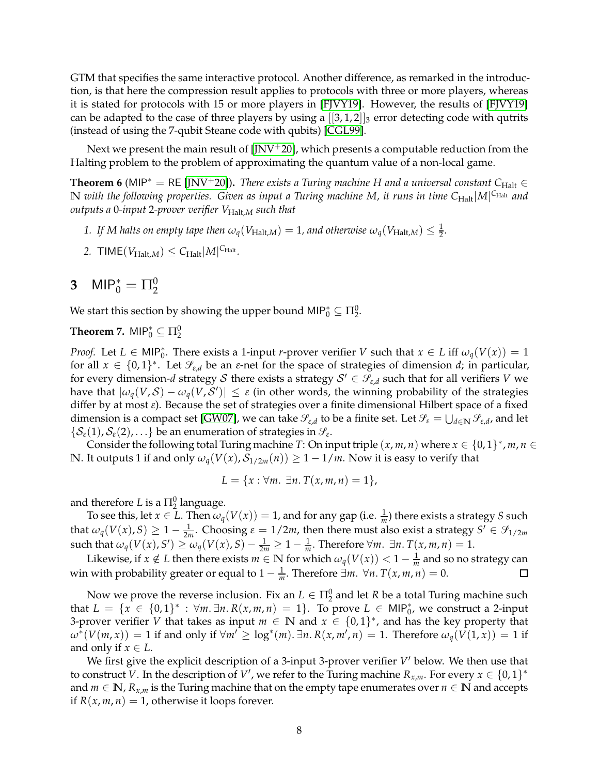GTM that specifies the same interactive protocol. Another difference, as remarked in the introduction, is that here the compression result applies to protocols with three or more players, whereas it is stated for protocols with 15 or more players in [\[FJVY19\]](#page-11-2). However, the results of [\[FJVY19\]](#page-11-2) can be adapted to the case of three players by using a  $[[3,1,2]]_3$  error detecting code with qutrits (instead of using the 7-qubit Steane code with qubits) [\[CGL99\]](#page-11-13).

Next we present the main result of  $[JNV^+20]$ , which presents a computable reduction from the Halting problem to the problem of approximating the quantum value of a non-local game.

<span id="page-7-0"></span>**Theorem 6** (MIP<sup>\*</sup> = RE [\[JNV](#page-11-1)<sup>+</sup>20]). *There exists a Turing machine H and a universal constant*  $C_{\text{Halt}} \in$  $\bf{N}$  with the following properties. Given as input a Turing machine M, it runs in time  $C_{\rm Half}|M|^{\rm C_{\rm Half}}$  and *outputs a* 0*-input* 2*-prover verifier V*Halt,*<sup>M</sup> such that*

- 1. If M halts on empty tape then  $\omega_q(V_{\text{Halt},M}) = 1$ , and otherwise  $\omega_q(V_{\text{Halt},M}) \leq \frac{1}{2}$ .
- 2. TIME( $V_{\text{Half},M}$ )  $\leq C_{\text{Half}}|M|^{C_{\text{Half}}}.$

# **3** MIP<sub>0</sub><sup>\*</sup> =  $\Pi_2^0$

We start this section by showing the upper bound MIP $_0^* \subseteq \Pi_2^0$ .

<span id="page-7-1"></span>**Theorem 7.**  $\mathsf{MIP}^*_0 \subseteq \Pi^0_2$ 

*Proof.* Let  $L \in \text{MIP}_0^*$ . There exists a 1-input *r*-prover verifier *V* such that  $x \in L$  iff  $\omega_q(V(x)) = 1$ for all  $x \in \{0,1\}^*$ . Let  $\mathcal{S}_{\varepsilon,d}$  be an  $\varepsilon$ -net for the space of strategies of dimension *d*; in particular, for every dimension- $d$  strategy  $\mathcal S$  there exists a strategy  $\mathcal S' \in \mathscr S_{\varepsilon,d}$  such that for all verifiers  $V$  we have that  $|\omega_q(V,\mathcal{S}) - \omega_q(V,\mathcal{S}')| \leq \varepsilon$  (in other words, the winning probability of the strategies differ by at most *ε*). Because the set of strategies over a finite dimensional Hilbert space of a fixed dimension is a compact set [\[GW07\]](#page-11-14), we can take  $\mathscr{S}_{\varepsilon,d}$  to be a finite set. Let  $\mathscr{S}_\varepsilon=\bigcup_{d\in\mathbb{N}}\mathscr{S}_{\varepsilon,d}$ , and let  $\{\mathcal{S}_{\varepsilon}(1),\mathcal{S}_{\varepsilon}(2),\ldots\}$  be an enumeration of strategies in  $\mathscr{S}_{\varepsilon}$ .

Consider the following total Turing machine *T*: On input triple  $(x, m, n)$  where  $x \in \{0, 1\}^*$ ,  $m, n \in$ **N**. It outputs 1 if and only  $\omega_q(V(x), \mathcal{S}_{1/2m}(n)) \geq 1 - 1/m$ . Now it is easy to verify that

$$
L = \{x : \forall m. \ \exists n. \ T(x, m, n) = 1\},\
$$

and therefore  $L$  is a  $\Pi^0_2$  language.

To see this, let  $x \in L$ . Then  $\omega_q(V(x)) = 1$ , and for any gap (i.e.  $\frac{1}{m}$ ) there exists a strategy *S* such that  $\omega_q(V(x), S) \geq 1 - \frac{1}{2m}$ . Choosing  $\varepsilon = 1/2m$ , then there must also exist a strategy  $S' \in \mathcal{S}_{1/2m}$  $\sup_{\mathcal{A}} \mathcal{A}(V(x), S') \ge \omega_q(V(x), S) - \frac{1}{2m} \ge 1 - \frac{1}{m}$ . Therefore  $\forall m$ .  $\exists n$ .  $T(x, m, n) = 1$ .

Likewise, if  $x \notin L$  then there exists  $m \in \mathbb{N}$  for which  $\omega_q(V(x)) < 1 - \frac{1}{m}$  and so no strategy can win with probability greater or equal to  $1 - \frac{1}{m}$ . Therefore  $\exists m. \forall n. T(x, m, n) = 0$ .  $\Box$ 

Now we prove the reverse inclusion. Fix an  $L \in \Pi_2^0$  and let *R* be a total Turing machine such that  $L = \{x \in \{0,1\}^* : \forall m. \exists n. R(x,m,n) = 1\}$ . To prove  $L \in \mathsf{MIP}_0^*$ , we construct a 2-input 3-prover verifier *V* that takes as input  $m \in \mathbb{N}$  and  $x \in \{0,1\}^*$ , and has the key property that  $\omega^*(V(m,x)) = 1$  if and only if  $\forall m' \ge \log^*(m)$ .  $\exists n. R(x, m', n) = 1$ . Therefore  $\omega_q(V(1,x)) = 1$  if and only if  $x \in L$ .

We first give the explicit description of a 3-input 3-prover verifier *V'* below. We then use that to construct *V*. In the description of *V'*, we refer to the Turing machine  $R_{x,m}$ . For every  $x \in \{0,1\}^*$ and  $m \in \mathbb{N}$ ,  $R_{x,m}$  is the Turing machine that on the empty tape enumerates over  $n \in \mathbb{N}$  and accepts if  $R(x, m, n) = 1$ , otherwise it loops forever.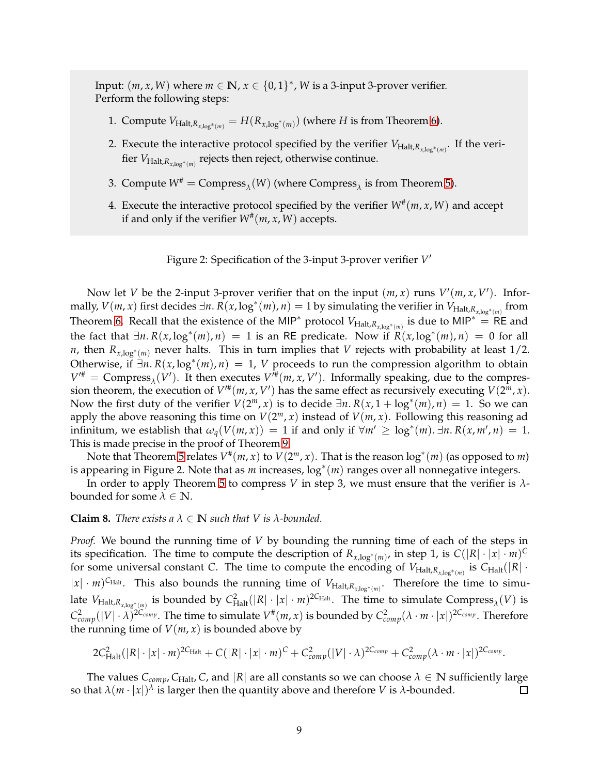Input:  $(m, x, W)$  where  $m \in \mathbb{N}$ ,  $x \in \{0, 1\}^*$ , W is a 3-input 3-prover verifier. Perform the following steps:

- 1. Compute  $V_{\text{Half}, R_{x, \log^*(m)}} = H(R_{x, \log^*(m)})$  (where *H* is from Theorem [6\)](#page-7-0).
- 2. Execute the interactive protocol specified by the verifier  $V_{\text{Halt}, R_{x,\log^*(m)}}$ . If the verifier *V*Halt,*Rx*,log∗(*m*) rejects then reject, otherwise continue.
- 3. Compute  $W^{\#} = \text{Compress}_{\lambda}(W)$  (where Compress<sub> $\lambda$ </sub> is from Theorem [5\)](#page-6-0).
- 4. Execute the interactive protocol specified by the verifier  $W^{\#}(m, x, W)$  and accept if and only if the verifier  $W^{\#}(m, x, W)$  accepts.

Figure 2: Specification of the 3-input 3-prover verifier *V* ′

Now let *V* be the 2-input 3-prover verifier that on the input  $(m, x)$  runs  $V'(m, x, V')$ . Infor $m$ ally,  $V(m, x)$  first decides ∃*n*.  $\overline{R}(x, \log^*(m), n) = 1$  by simulating the verifier in  $V_{\text{Halt}, R_{x, \log^*(m)}}$  from Theorem [6.](#page-7-0) Recall that the existence of the MIP<sup>\*</sup> protocol  $V_{\text{Half}, R_{x, \log^*(m)}}$  is due to MIP<sup>\*</sup> = RE and the fact that  $\exists n. R(x, \log^*(m), n) = 1$  is an RE predicate. Now if  $R(x, \log^*(m), n) = 0$  for all *n*, then *Rx*,log<sup>∗</sup> (*m*) never halts. This in turn implies that *V* rejects with probability at least 1/2. Otherwise, if  $\exists n. R(x, \log^*(m), n) = 1$ , *V* proceeds to run the compression algorithm to obtain  $V^{\prime\prime\prime}$  = Compress<sub> $\lambda$ </sub>(*V*'). It then executes  $V^{\prime\prime\prime}(m, x, V^{\prime})$ . Informally speaking, due to the compression theorem, the execution of  $V^{\prime\prime\prime}(m, x, V')$  has the same effect as recursively executing  $V(2^m, x)$ . Now the first duty of the verifier  $V(2^m, x)$  is to decide  $\exists n. R(x, 1 + \log^*(m), n) = 1$ . So we can apply the above reasoning this time on  $V(2^m, x)$  instead of  $V(m, x)$ . Following this reasoning ad infinitum, we establish that  $\omega_q(V(m,x)) = 1$  if and only if  $\forall m' \geq \log^*(m)$ .  $\exists n. R(x, m', n) = 1$ . This is made precise in the proof of Theorem [9.](#page-9-1)

Note that Theorem [5](#page-6-0) relates  $V^{\#}(m, x)$  to  $V(2^m, x)$ . That is the reason  $\log^*(m)$  (as opposed to *m*) is appearing in Figure 2. Note that as *m* increases, log<sup>∗</sup> (*m*) ranges over all nonnegative integers.

In order to apply Theorem [5](#page-6-0) to compress *V* in step 3, we must ensure that the verifier is *λ*bounded for some  $\lambda \in \mathbb{N}$ .

#### <span id="page-8-0"></span>**Claim 8.** *There exists a*  $\lambda \in \mathbb{N}$  *such that V is*  $\lambda$ *-bounded.*

*Proof.* We bound the running time of *V* by bounding the running time of each of the steps in its specification. The time to compute the description of  $R_{x,log^*(m)}$ , in step 1, is  $C(|R| \cdot |x| \cdot m)^C$ for some universal constant *C*. The time to compute the encoding of  $V_{\text{Halt}, R_{x, \log^*(m)}}$  is  $C_{\text{Halt}}(|R| \cdot$  $|x| \cdot m$ <sup>CHalt</sup>. This also bounds the running time of  $V_{\text{Halt}, R_{x,\log^*(m)}}$ . Therefore the time to simulate  $V_{\text{Half},R_{x,\log^*(m)}}$  is bounded by  $C_{\text{Half}}^2(|R|\cdot|x|\cdot m)^{2C_{\text{Half}}}$ . The time to simulate  $\text{Compress}_{\lambda}(V)$  is  $C_{comp}^2(|V|\cdot\lambda)^{2C_{comp}}$ . The time to simulate  $V^{\#}(m,x)$  is bounded by  $C_{comp}^2(\lambda\cdot m\cdot |x|)^{2C_{comp}}$ . Therefore the running time of  $V(m, x)$  is bounded above by

$$
2C_{\text{Half}}^2(|R|\cdot|x|\cdot m)^{2C_{\text{Half}}}+C(|R|\cdot|x|\cdot m)^C+C_{comp}^2(|V|\cdot\lambda)^{2C_{comp}}+C_{comp}^2(\lambda\cdot m\cdot|x|)^{2C_{comp}}.
$$

The values  $C_{comp}$ ,  $C_{Half}$ ,  $C$ , and  $|R|$  are all constants so we can choose  $\lambda \in \mathbb{N}$  sufficiently large so that  $\lambda(m \cdot |x|)^{\lambda}$  is larger then the quantity above and therefore *V* is  $\lambda$ -bounded.  $\Box$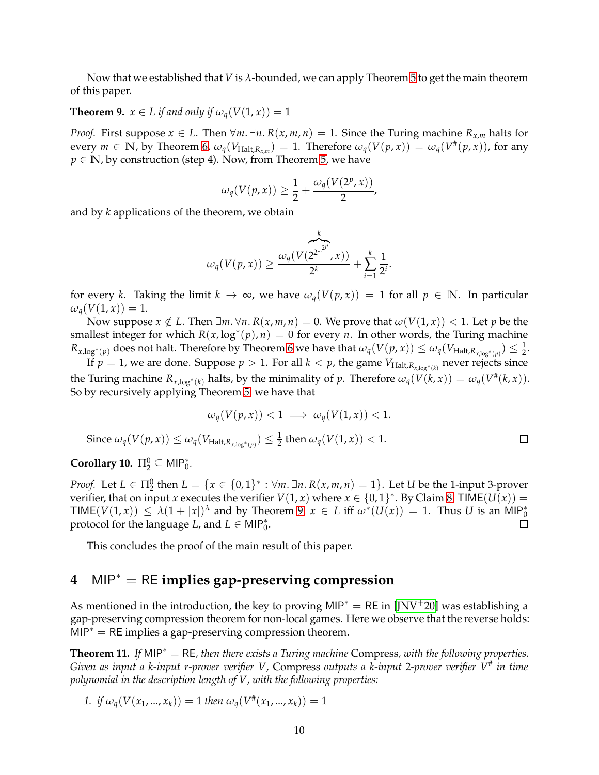Now that we established that *V* is *λ*-bounded, we can apply Theorem [5](#page-6-0) to get the main theorem of this paper.

## <span id="page-9-1"></span>**Theorem 9.**  $x \in L$  if and only if  $\omega_q(V(1, x)) = 1$

*Proof.* First suppose *x* ∈ *L*. Then  $\forall m$ .  $\exists n$ .  $R(x, m, n) = 1$ . Since the Turing machine  $R_{x,m}$  halts for every  $m \in \mathbb{N}$ , by Theorem [6,](#page-7-0)  $\omega_q(V_{\text{Half},R_{x,m}}) = 1$ . Therefore  $\omega_q(V(p,x)) = \omega_q(V^*(p,x))$ , for any  $p \in \mathbb{N}$ , by construction (step 4). Now, from Theorem [5,](#page-6-0) we have

$$
\omega_q(V(p,x)) \geq \frac{1}{2} + \frac{\omega_q(V(2^p,x))}{2},
$$

and by *k* applications of the theorem, we obtain

$$
\omega_q(V(p,x)) \geq \frac{\omega_q(V(2^{2\cdot\frac{2^p}{p}},x))}{2^k} + \sum_{i=1}^k \frac{1}{2^i}.
$$

for every *k*. Taking the limit  $k \to \infty$ , we have  $\omega_q(V(p,x)) = 1$  for all  $p \in \mathbb{N}$ . In particular  $\omega_q(V(1,x)) = 1.$ 

Now suppose  $x \notin L$ . Then  $\exists m \forall n$ .  $R(x, m, n) = 0$ . We prove that  $\omega(V(1, x)) < 1$ . Let *p* be the smallest integer for which  $R(x, \log^*(p), n) = 0$  for every *n*. In other words, the Turing machine  $R_{x,\log^*(p)}$  does not halt. Therefore by Theorem [6](#page-7-0) we have that  $\omega_q(V(p,x))\leq \omega_q(V_{\text{Half},R_{x,\log^*(p)}})\leq \frac{1}{2}.$ 

If  $p = 1$ , we are done. Suppose  $p > 1$ . For all  $k < p$ , the game  $V_{\text{Halt}, R_{x,\log^*(k)}}$  never rejects since the Turing machine  $R_{x,\log^*(k)}$  halts, by the minimality of *p*. Therefore  $\omega_q(V(k,x)) = \omega_q(V^*(k,x))$ . So by recursively applying Theorem [5,](#page-6-0) we have that

$$
\omega_q(V(p, x)) < 1 \implies \omega_q(V(1, x)) < 1.
$$
\n
$$
\text{Since } \omega_q(V(p, x)) \le \omega_q(V_{\text{Halt}, R_{x, \log^*(p)}}) \le \frac{1}{2} \text{ then } \omega_q(V(1, x)) < 1.
$$

**Corollary 10.**  $\Pi_2^0 \subseteq \text{MIP}_0^*$ .

*Proof.* Let  $L \in \Pi_2^0$  then  $L = \{x \in \{0,1\}^* : \forall m, \exists n. R(x, m, n) = 1\}$ . Let *U* be the 1-input 3-prover verifier, that on input *x* executes the verifier  $V(1, x)$  where  $x \in \{0, 1\}^*$ . By Claim [8,](#page-8-0) TIME $(U(x)) =$  $TIME(V(1, x)) \leq \lambda(1 + |x|)^{\lambda}$  and by Theorem [9,](#page-9-1)  $x \in L$  iff  $\omega^*(U(x)) = 1$ . Thus *U* is an MIP<sup>\*</sup><sub>0</sub> protocol for the language *L*, and  $L \in \text{MIP}_0^*$ . □

This concludes the proof of the main result of this paper.

# <span id="page-9-0"></span>**4** MIP<sup>∗</sup> = RE **implies gap-preserving compression**

As mentioned in the introduction, the key to proving MIP<sup>∗</sup> = RE in [\[JNV](#page-11-1)<sup>+</sup>20] was establishing a gap-preserving compression theorem for non-local games. Here we observe that the reverse holds:  $MIP^* = RE$  implies a gap-preserving compression theorem.

**Theorem 11.** *If* MIP<sup>∗</sup> = RE*, then there exists a Turing machine* Compress*, with the following properties. Given as input a k-input r-prover verifier V,* Compress *outputs a k-input* 2*-prover verifier V*# *in time polynomial in the description length of V, with the following properties:*

*1. if*  $\omega_q(V(x_1, ..., x_k)) = 1$  *then*  $\omega_q(V^*(x_1, ..., x_k)) = 1$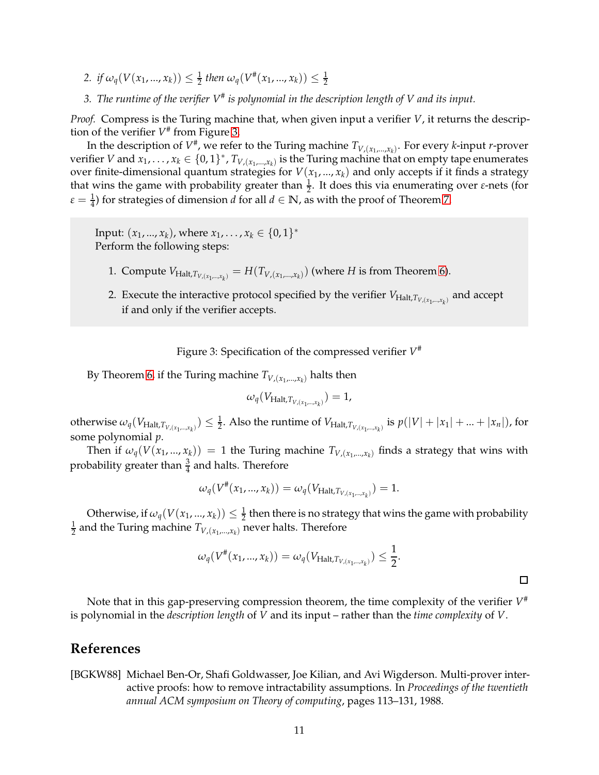- 2. *if*  $\omega_q(V(x_1,...,x_k)) \leq \frac{1}{2}$  then  $\omega_q(V^*(x_1,...,x_k)) \leq \frac{1}{2}$
- *3. The runtime of the verifier V*# *is polynomial in the description length of V and its input.*

*Proof.* Compress is the Turing machine that, when given input a verifier *V*, it returns the description of the verifier *V* # from Figure [3.](#page-10-1)

In the description of  $V^{\#}$ , we refer to the Turing machine  $T_{V,(x_1,...,x_k)}$ . For every *k*-input *r*-prover verifier *V* and  $x_1, \ldots, x_k \in \{0,1\}^*$ ,  $T_{V,(x_1,\ldots,x_k)}$  is the Turing machine that on empty tape enumerates over finite-dimensional quantum strategies for  $V(x_1, ..., x_k)$  and only accepts if it finds a strategy that wins the game with probability greater than  $\frac{1}{2}$ . It does this via enumerating over *ε*-nets (for  $\varepsilon = \frac{1}{4}$ ) for strategies of dimension *d* for all  $d \in \mathbb{N}$ , as with the proof of Theorem [7.](#page-7-1)

Input:  $(x_1, ..., x_k)$ , where  $x_1, ..., x_k \in \{0, 1\}^*$ Perform the following steps:

- 1. Compute  $V_{\text{Halt},T_{V,(x_1,\dots,x_k)}} = H(T_{V,(x_1,\dots,x_k)})$  (where *H* is from Theorem [6\)](#page-7-0).
- 2. Execute the interactive protocol specified by the verifier  $V_{\text{Halt},T_{V,(x_1,\dots,x_k)}}$  and accept if and only if the verifier accepts.

Figure 3: Specification of the compressed verifier *V* #

By Theorem [6,](#page-7-0) if the Turing machine  $T_{V,(x_1,...,x_k)}$  halts then

<span id="page-10-1"></span>
$$
\omega_q(V_{\text{Halt},T_{V,(x_1,\ldots,x_k)}})=1,
$$

otherwise  $\omega_q(V_{\text{Halt},T_{V,(x_1,\dots,x_k)}})\leq \frac{1}{2}.$  Also the runtime of  $V_{\text{Halt},T_{V,(x_1,\dots,x_k)}}$  is  $p(|V|+|x_1|+...+|x_n|)$ , for some polynomial *p*.

Then if  $\omega_q(V(x_1,...,x_k)) = 1$  the Turing machine  $T_{V,(x_1,...,x_k)}$  finds a strategy that wins with probability greater than  $\frac{3}{4}$  and halts. Therefore

$$
\omega_q(V^{\#}(x_1,...,x_k)) = \omega_q(V_{\text{Half},T_{V,(x_1,...,x_k)}}) = 1.
$$

Otherwise, if  $\omega_q(V(x_1,...,x_k)) \leq \frac{1}{2}$  then there is no strategy that wins the game with probability 1  $\frac{1}{2}$  and the Turing machine  $T_{V,(x_1,...,x_k)}$  never halts. Therefore

$$
\omega_q(V^{\#}(x_1,...,x_k)) = \omega_q(V_{\text{Halt},T_{V,(x_1,...,x_k)}}) \leq \frac{1}{2}.
$$

 $\Box$ 

Note that in this gap-preserving compression theorem, the time complexity of the verifier  $V^*$ is polynomial in the *description length* of *V* and its input – rather than the *time complexity* of *V*.

## **References**

<span id="page-10-0"></span>[BGKW88] Michael Ben-Or, Shafi Goldwasser, Joe Kilian, and Avi Wigderson. Multi-prover interactive proofs: how to remove intractability assumptions. In *Proceedings of the twentieth annual ACM symposium on Theory of computing*, pages 113–131, 1988.